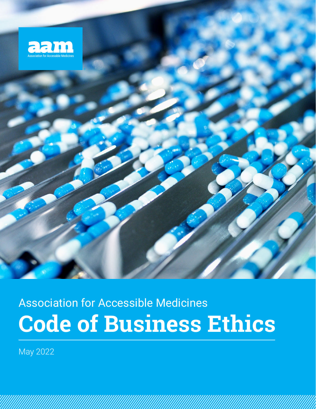

# **Code of Business Ethics** Association for Accessible Medicines

May 2022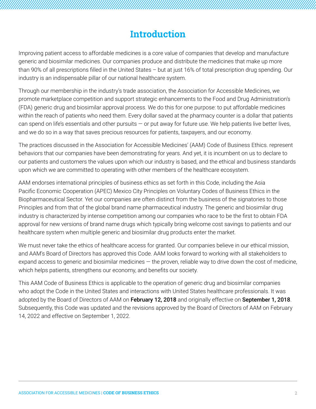# **Introduction**

Improving patient access to affordable medicines is a core value of companies that develop and manufacture generic and biosimilar medicines. Our companies produce and distribute the medicines that make up more than 90% of all prescriptions filled in the United States – but at just 16% of total prescription drug spending. Our industry is an indispensable pillar of our national healthcare system.

Through our membership in the industry's trade association, the Association for Accessible Medicines, we promote marketplace competition and support strategic enhancements to the Food and Drug Administration's (FDA) generic drug and biosimilar approval process. We do this for one purpose: to put affordable medicines within the reach of patients who need them. Every dollar saved at the pharmacy counter is a dollar that patients can spend on life's essentials and other pursuits  $-$  or put away for future use. We help patients live better lives, and we do so in a way that saves precious resources for patients, taxpayers, and our economy.

The practices discussed in the Association for Accessible Medicines' (AAM) Code of Business Ethics. represent behaviors that our companies have been demonstrating for years. And yet, it is incumbent on us to declare to our patients and customers the values upon which our industry is based, and the ethical and business standards upon which we are committed to operating with other members of the healthcare ecosystem.

AAM endorses international principles of business ethics as set forth in this Code, including the Asia Pacific Economic Cooperation (APEC) Mexico City Principles on Voluntary Codes of Business Ethics in the Biopharmaceutical Sector. Yet our companies are often distinct from the business of the signatories to those Principles and from that of the global brand name pharmaceutical industry. The generic and biosimilar drug industry is characterized by intense competition among our companies who race to be the first to obtain FDA approval for new versions of brand name drugs which typically bring welcome cost savings to patients and our healthcare system when multiple generic and biosimilar drug products enter the market.

We must never take the ethics of healthcare access for granted. Our companies believe in our ethical mission, and AAM's Board of Directors has approved this Code. AAM looks forward to working with all stakeholders to expand access to generic and biosimilar medicines  $-$  the proven, reliable way to drive down the cost of medicine, which helps patients, strengthens our economy, and benefits our society.

This AAM Code of Business Ethics is applicable to the operation of generic drug and biosimilar companies who adopt the Code in the United States and interactions with United States healthcare professionals. It was adopted by the Board of Directors of AAM on February 12, 2018 and originally effective on September 1, 2018. Subsequently, this Code was updated and the revisions approved by the Board of Directors of AAM on February 14, 2022 and effective on September 1, 2022.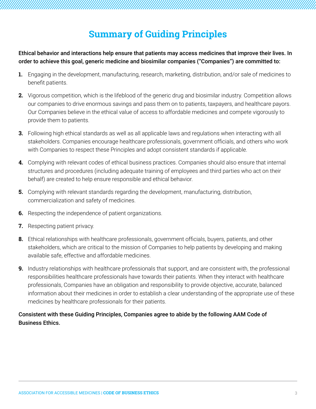# **Summary of Guiding Principles**

Ethical behavior and interactions help ensure that patients may access medicines that improve their lives. In order to achieve this goal, generic medicine and biosimilar companies ("Companies") are committed to:

- **1.** Engaging in the development, manufacturing, research, marketing, distribution, and/or sale of medicines to benefit patients.
- **2.** Vigorous competition, which is the lifeblood of the generic drug and biosimilar industry. Competition allows our companies to drive enormous savings and pass them on to patients, taxpayers, and healthcare payors. Our Companies believe in the ethical value of access to affordable medicines and compete vigorously to provide them to patients.
- **3.** Following high ethical standards as well as all applicable laws and regulations when interacting with all stakeholders. Companies encourage healthcare professionals, government officials, and others who work with Companies to respect these Principles and adopt consistent standards if applicable.
- **4.** Complying with relevant codes of ethical business practices. Companies should also ensure that internal structures and procedures (including adequate training of employees and third parties who act on their behalf) are created to help ensure responsible and ethical behavior.
- **5.** Complying with relevant standards regarding the development, manufacturing, distribution, commercialization and safety of medicines.
- **6.** Respecting the independence of patient organizations.
- **7.** Respecting patient privacy.
- **8.** Ethical relationships with healthcare professionals, government officials, buyers, patients, and other stakeholders, which are critical to the mission of Companies to help patients by developing and making available safe, effective and affordable medicines.
- **9.** Industry relationships with healthcare professionals that support, and are consistent with, the professional responsibilities healthcare professionals have towards their patients. When they interact with healthcare professionals, Companies have an obligation and responsibility to provide objective, accurate, balanced information about their medicines in order to establish a clear understanding of the appropriate use of these medicines by healthcare professionals for their patients.

#### Consistent with these Guiding Principles, Companies agree to abide by the following AAM Code of Business Ethics.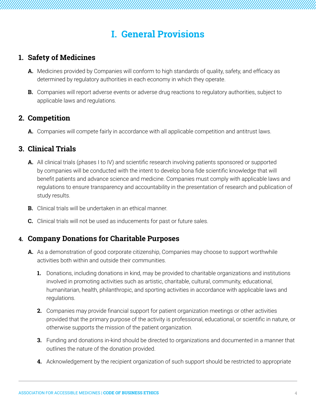# **I. General Provisions**

# **1. Safety of Medicines**

- **A.** Medicines provided by Companies will conform to high standards of quality, safety, and efficacy as determined by regulatory authorities in each economy in which they operate.
- **B.** Companies will report adverse events or adverse drug reactions to regulatory authorities, subject to applicable laws and regulations.

## **2. Competition**

**A.** Companies will compete fairly in accordance with all applicable competition and antitrust laws.

# **3. Clinical Trials**

- **A.** All clinical trials (phases I to IV) and scientific research involving patients sponsored or supported by companies will be conducted with the intent to develop bona fide scientific knowledge that will benefit patients and advance science and medicine. Companies must comply with applicable laws and regulations to ensure transparency and accountability in the presentation of research and publication of study results.
- **B.** Clinical trials will be undertaken in an ethical manner.
- **C.** Clinical trials will not be used as inducements for past or future sales.

#### **4. Company Donations for Charitable Purposes**

- **A.** As a demonstration of good corporate citizenship, Companies may choose to support worthwhile activities both within and outside their communities.
	- **1.** Donations, including donations in kind, may be provided to charitable organizations and institutions involved in promoting activities such as artistic, charitable, cultural, community, educational, humanitarian, health, philanthropic, and sporting activities in accordance with applicable laws and regulations.
	- **2.** Companies may provide financial support for patient organization meetings or other activities provided that the primary purpose of the activity is professional, educational, or scientific in nature, or otherwise supports the mission of the patient organization.
	- **3.** Funding and donations in-kind should be directed to organizations and documented in a manner that outlines the nature of the donation provided.
	- **4.** Acknowledgement by the recipient organization of such support should be restricted to appropriate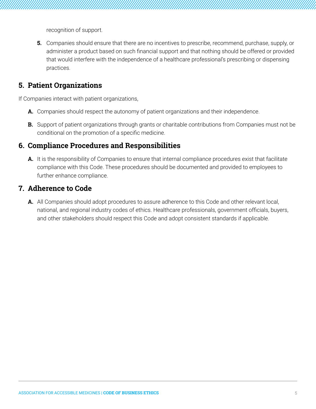recognition of support.

**5.** Companies should ensure that there are no incentives to prescribe, recommend, purchase, supply, or administer a product based on such financial support and that nothing should be offered or provided that would interfere with the independence of a healthcare professional's prescribing or dispensing practices.

### **5. Patient Organizations**

If Companies interact with patient organizations,

- **A.** Companies should respect the autonomy of patient organizations and their independence.
- **B.** Support of patient organizations through grants or charitable contributions from Companies must not be conditional on the promotion of a specific medicine.

# **6. Compliance Procedures and Responsibilities**

**A.** It is the responsibility of Companies to ensure that internal compliance procedures exist that facilitate compliance with this Code. These procedures should be documented and provided to employees to further enhance compliance.

#### **7. Adherence to Code**

**A.** All Companies should adopt procedures to assure adherence to this Code and other relevant local, national, and regional industry codes of ethics. Healthcare professionals, government officials, buyers, and other stakeholders should respect this Code and adopt consistent standards if applicable.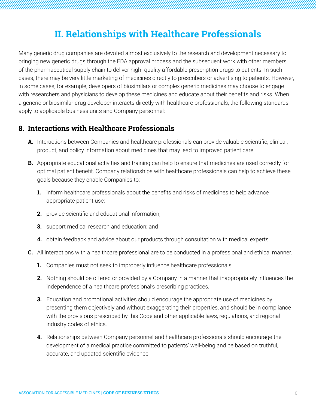# **II. Relationships with Healthcare Professionals**

Many generic drug companies are devoted almost exclusively to the research and development necessary to bringing new generic drugs through the FDA approval process and the subsequent work with other members of the pharmaceutical supply chain to deliver high- quality affordable prescription drugs to patients. In such cases, there may be very little marketing of medicines directly to prescribers or advertising to patients. However, in some cases, for example, developers of biosimilars or complex generic medicines may choose to engage with researchers and physicians to develop these medicines and educate about their benefits and risks. When a generic or biosimilar drug developer interacts directly with healthcare professionals, the following standards apply to applicable business units and Company personnel:

#### **8. Interactions with Healthcare Professionals**

- **A.** Interactions between Companies and healthcare professionals can provide valuable scientific, clinical, product, and policy information about medicines that may lead to improved patient care.
- **B.** Appropriate educational activities and training can help to ensure that medicines are used correctly for optimal patient benefit. Company relationships with healthcare professionals can help to achieve these goals because they enable Companies to:
	- **1.** inform healthcare professionals about the benefits and risks of medicines to help advance appropriate patient use;
	- **2.** provide scientific and educational information;
	- **3.** support medical research and education; and
	- **4.** obtain feedback and advice about our products through consultation with medical experts.
- **C.** All interactions with a healthcare professional are to be conducted in a professional and ethical manner.
	- **1.** Companies must not seek to improperly influence healthcare professionals.
	- **2.** Nothing should be offered or provided by a Company in a manner that inappropriately influences the independence of a healthcare professional's prescribing practices.
	- **3.** Education and promotional activities should encourage the appropriate use of medicines by presenting them objectively and without exaggerating their properties, and should be in compliance with the provisions prescribed by this Code and other applicable laws, regulations, and regional industry codes of ethics.
	- **4.** Relationships between Company personnel and healthcare professionals should encourage the development of a medical practice committed to patients' well-being and be based on truthful, accurate, and updated scientific evidence.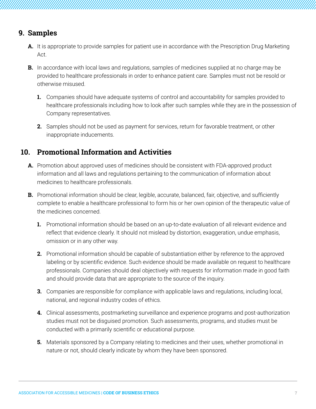# **9. Samples**

- **A.** It is appropriate to provide samples for patient use in accordance with the Prescription Drug Marketing Act.
- **B.** In accordance with local laws and regulations, samples of medicines supplied at no charge may be provided to healthcare professionals in order to enhance patient care. Samples must not be resold or otherwise misused.
	- **1.** Companies should have adequate systems of control and accountability for samples provided to healthcare professionals including how to look after such samples while they are in the possession of Company representatives.
	- **2.** Samples should not be used as payment for services, return for favorable treatment, or other inappropriate inducements.

# **10. Promotional Information and Activities**

- **A.** Promotion about approved uses of medicines should be consistent with FDA-approved product information and all laws and regulations pertaining to the communication of information about medicines to healthcare professionals.
- **B.** Promotional information should be clear, legible, accurate, balanced, fair, objective, and sufficiently complete to enable a healthcare professional to form his or her own opinion of the therapeutic value of the medicines concerned.
	- **1.** Promotional information should be based on an up-to-date evaluation of all relevant evidence and reflect that evidence clearly. It should not mislead by distortion, exaggeration, undue emphasis, omission or in any other way.
	- **2.** Promotional information should be capable of substantiation either by reference to the approved labeling or by scientific evidence. Such evidence should be made available on request to healthcare professionals. Companies should deal objectively with requests for information made in good faith and should provide data that are appropriate to the source of the inquiry.
	- **3.** Companies are responsible for compliance with applicable laws and regulations, including local, national, and regional industry codes of ethics.
	- **4.** Clinical assessments, postmarketing surveillance and experience programs and post-authorization studies must not be disguised promotion. Such assessments, programs, and studies must be conducted with a primarily scientific or educational purpose.
	- **5.** Materials sponsored by a Company relating to medicines and their uses, whether promotional in nature or not, should clearly indicate by whom they have been sponsored.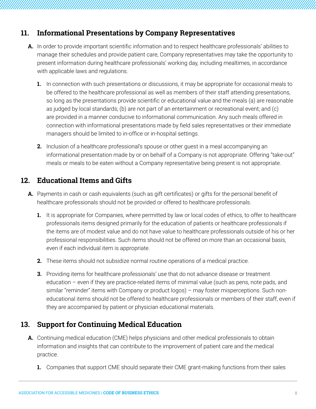## **11. Informational Presentations by Company Representatives**

- **A.** In order to provide important scientific information and to respect healthcare professionals' abilities to manage their schedules and provide patient care, Company representatives may take the opportunity to present information during healthcare professionals' working day, including mealtimes, in accordance with applicable laws and regulations.
	- **1.** In connection with such presentations or discussions, it may be appropriate for occasional meals to be offered to the healthcare professional as well as members of their staff attending presentations, so long as the presentations provide scientific or educational value and the meals (a) are reasonable as judged by local standards; (b) are not part of an entertainment or recreational event; and (c) are provided in a manner conducive to informational communication. Any such meals offered in connection with informational presentations made by field sales representatives or their immediate managers should be limited to in-office or in-hospital settings.
	- **2.** Inclusion of a healthcare professional's spouse or other quest in a meal accompanying an informational presentation made by or on behalf of a Company is not appropriate. Offering "take-out" meals or meals to be eaten without a Company representative being present is not appropriate.

# **12. Educational Items and Gifts**

- **A.** Payments in cash or cash equivalents (such as gift certificates) or gifts for the personal benefit of healthcare professionals should not be provided or offered to healthcare professionals.
	- **1.** It is appropriate for Companies, where permitted by law or local codes of ethics, to offer to healthcare professionals items designed primarily for the education of patients or healthcare professionals if the items are of modest value and do not have value to healthcare professionals outside of his or her professional responsibilities. Such items should not be offered on more than an occasional basis, even if each individual item is appropriate.
	- **2.** These items should not subsidize normal routine operations of a medical practice.
	- **3.** Providing items for healthcare professionals' use that do not advance disease or treatment education – even if they are practice-related items of minimal value (such as pens, note pads, and similar "reminder" items with Company or product logos) – may foster misperceptions. Such noneducational items should not be offered to healthcare professionals or members of their staff, even if they are accompanied by patient or physician educational materials.

# **13. Support for Continuing Medical Education**

- **A.** Continuing medical education (CME) helps physicians and other medical professionals to obtain information and insights that can contribute to the improvement of patient care and the medical practice.
	- **1.** Companies that support CME should separate their CME grant-making functions from their sales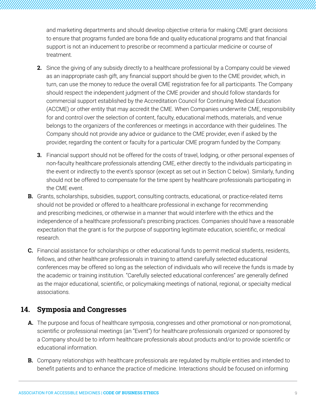and marketing departments and should develop objective criteria for making CME grant decisions to ensure that programs funded are bona fide and quality educational programs and that financial support is not an inducement to prescribe or recommend a particular medicine or course of treatment.

- **2.** Since the giving of any subsidy directly to a healthcare professional by a Company could be viewed as an inappropriate cash gift, any financial support should be given to the CME provider, which, in turn, can use the money to reduce the overall CME registration fee for all participants. The Company should respect the independent judgment of the CME provider and should follow standards for commercial support established by the Accreditation Council for Continuing Medical Education (ACCME) or other entity that may accredit the CME. When Companies underwrite CME, responsibility for and control over the selection of content, faculty, educational methods, materials, and venue belongs to the organizers of the conferences or meetings in accordance with their guidelines. The Company should not provide any advice or guidance to the CME provider, even if asked by the provider, regarding the content or faculty for a particular CME program funded by the Company.
- **3.** Financial support should not be offered for the costs of travel, lodging, or other personal expenses of non-faculty healthcare professionals attending CME, either directly to the individuals participating in the event or indirectly to the event's sponsor (except as set out in Section C below). Similarly, funding should not be offered to compensate for the time spent by healthcare professionals participating in the CME event.
- **B.** Grants, scholarships, subsidies, support, consulting contracts, educational, or practice-related items should not be provided or offered to a healthcare professional in exchange for recommending and prescribing medicines, or otherwise in a manner that would interfere with the ethics and the independence of a healthcare professional's prescribing practices. Companies should have a reasonable expectation that the grant is for the purpose of supporting legitimate education, scientific, or medical research.
- **C.** Financial assistance for scholarships or other educational funds to permit medical students, residents, fellows, and other healthcare professionals in training to attend carefully selected educational conferences may be offered so long as the selection of individuals who will receive the funds is made by the academic or training institution. "Carefully selected educational conferences" are generally defined as the major educational, scientific, or policymaking meetings of national, regional, or specialty medical associations.

# **14. Symposia and Congresses**

- **A.** The purpose and focus of healthcare symposia, congresses and other promotional or non-promotional, scientific or professional meetings (an "Event") for healthcare professionals organized or sponsored by a Company should be to inform healthcare professionals about products and/or to provide scientific or educational information.
- **B.** Company relationships with healthcare professionals are regulated by multiple entities and intended to benefit patients and to enhance the practice of medicine. Interactions should be focused on informing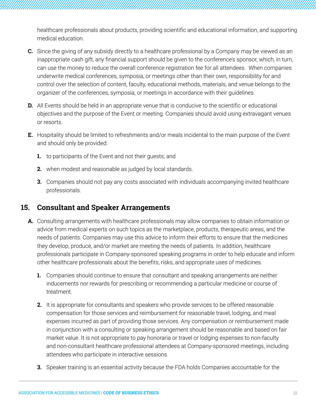healthcare professionals about products, providing scientific and educational information, and supporting medical education.

- **C.** Since the giving of any subsidy directly to a healthcare professional by a Company may be viewed as an inappropriate cash gift, any financial support should be given to the conference's sponsor, which, in turn, can use the money to reduce the overall conference registration fee for all attendees. When companies underwrite medical conferences, symposia, or meetings other than their own, responsibility for and control over the selection of content, faculty, educational methods, materials, and venue belongs to the organizer of the conferences, symposia, or meetings in accordance with their guidelines.
- **D.** All Events should be held in an appropriate venue that is conducive to the scientific or educational objectives and the purpose of the Event or meeting. Companies should avoid using extravagant venues or resorts.
- **E.** Hospitality should be limited to refreshments and/or meals incidental to the main purpose of the Event and should only be provided:
	- **1.** to participants of the Event and not their guests; and
	- **2.** when modest and reasonable as judged by local standards.
	- **3.** Companies should not pay any costs associated with individuals accompanying invited healthcare professionals.

# **15. Consultant and Speaker Arrangements**

- **A.** Consulting arrangements with healthcare professionals may allow companies to obtain information or advice from medical experts on such topics as the marketplace, products, therapeutic areas, and the needs of patients. Companies may use this advice to inform their efforts to ensure that the medicines they develop, produce, and/or market are meeting the needs of patients. In addition, healthcare professionals participate in Company-sponsored speaking programs in order to help educate and inform other healthcare professionals about the benefits, risks, and appropriate uses of medicines.
	- **1.** Companies should continue to ensure that consultant and speaking arrangements are neither inducements nor rewards for prescribing or recommending a particular medicine or course of treatment.
	- **2.** It is appropriate for consultants and speakers who provide services to be offered reasonable compensation for those services and reimbursement for reasonable travel, lodging, and meal expenses incurred as part of providing those services. Any compensation or reimbursement made in conjunction with a consulting or speaking arrangement should be reasonable and based on fair market value. It is not appropriate to pay honoraria or travel or lodging expenses to non-faculty and non-consultant healthcare professional attendees at Company-sponsored meetings, including attendees who participate in interactive sessions.
	- **3.** Speaker training is an essential activity because the FDA holds Companies accountable for the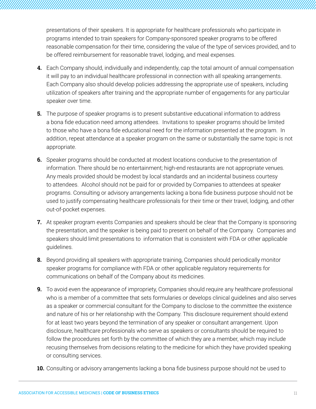presentations of their speakers. It is appropriate for healthcare professionals who participate in programs intended to train speakers for Company-sponsored speaker programs to be offered reasonable compensation for their time, considering the value of the type of services provided, and to be offered reimbursement for reasonable travel, lodging, and meal expenses.

- **4.** Each Company should, individually and independently, cap the total amount of annual compensation it will pay to an individual healthcare professional in connection with all speaking arrangements. Each Company also should develop policies addressing the appropriate use of speakers, including utilization of speakers after training and the appropriate number of engagements for any particular speaker over time.
- **5.** The purpose of speaker programs is to present substantive educational information to address a bona fide education need among attendees. Invitations to speaker programs should be limited to those who have a bona fide educational need for the information presented at the program. In addition, repeat attendance at a speaker program on the same or substantially the same topic is not appropriate.
- **6.** Speaker programs should be conducted at modest locations conducive to the presentation of information. There should be no entertainment; high-end restaurants are not appropriate venues. Any meals provided should be modest by local standards and an incidental business courtesy to attendees. Alcohol should not be paid for or provided by Companies to attendees at speaker programs. Consulting or advisory arrangements lacking a bona fide business purpose should not be used to justify compensating healthcare professionals for their time or their travel, lodging, and other out-of-pocket expenses.
- **7.** At speaker program events Companies and speakers should be clear that the Company is sponsoring the presentation, and the speaker is being paid to present on behalf of the Company. Companies and speakers should limit presentations to information that is consistent with FDA or other applicable guidelines.
- **8.** Beyond providing all speakers with appropriate training, Companies should periodically monitor speaker programs for compliance with FDA or other applicable regulatory requirements for communications on behalf of the Company about its medicines.
- **9.** To avoid even the appearance of impropriety, Companies should require any healthcare professional who is a member of a committee that sets formularies or develops clinical guidelines and also serves as a speaker or commercial consultant for the Company to disclose to the committee the existence and nature of his or her relationship with the Company. This disclosure requirement should extend for at least two years beyond the termination of any speaker or consultant arrangement. Upon disclosure, healthcare professionals who serve as speakers or consultants should be required to follow the procedures set forth by the committee of which they are a member, which may include recusing themselves from decisions relating to the medicine for which they have provided speaking or consulting services.
- **10.** Consulting or advisory arrangements lacking a bona fide business purpose should not be used to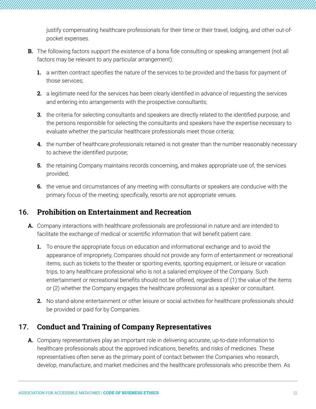justify compensating healthcare professionals for their time or their travel, lodging, and other out-ofpocket expenses.

- **B.** The following factors support the existence of a bona fide consulting or speaking arrangement (not all factors may be relevant to any particular arrangement):
	- **1.** a written contract specifies the nature of the services to be provided and the basis for payment of those services;
	- **2.** a legitimate need for the services has been clearly identified in advance of requesting the services and entering into arrangements with the prospective consultants;
	- **3.** the criteria for selecting consultants and speakers are directly related to the identified purpose, and the persons responsible for selecting the consultants and speakers have the expertise necessary to evaluate whether the particular healthcare professionals meet those criteria;
	- **4.** the number of healthcare professionals retained is not greater than the number reasonably necessary to achieve the identified purpose;
	- **5.** the retaining Company maintains records concerning, and makes appropriate use of, the services provided;
	- **6.** the venue and circumstances of any meeting with consultants or speakers are conducive with the primary focus of the meeting; specifically, resorts are not appropriate venues.

# 16. **Prohibition on Entertainment and Recreation**

- **A.** Company interactions with healthcare professionals are professional in nature and are intended to facilitate the exchange of medical or scientific information that will benefit patient care.
	- **1.** To ensure the appropriate focus on education and informational exchange and to avoid the appearance of impropriety, Companies should not provide any form of entertainment or recreational items, such as tickets to the theater or sporting events, sporting equipment, or leisure or vacation trips, to any healthcare professional who is not a salaried employee of the Company. Such entertainment or recreational benefits should not be offered, regardless of (1) the value of the items or (2) whether the Company engages the healthcare professional as a speaker or consultant.
	- **2.** No stand-alone entertainment or other leisure or social activities for healthcare professionals should be provided or paid for by Companies.

# 17. **Conduct and Training of Company Representatives**

**A.** Company representatives play an important role in delivering accurate, up-to-date information to healthcare professionals about the approved indications, benefits, and risks of medicines. These representatives often serve as the primary point of contact between the Companies who research, develop, manufacture, and market medicines and the healthcare professionals who prescribe them. As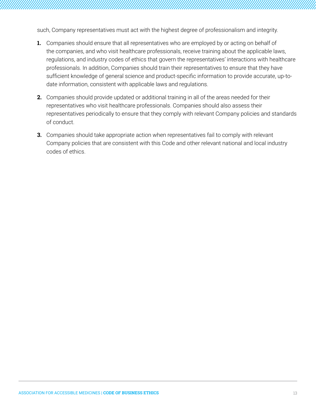such, Company representatives must act with the highest degree of professionalism and integrity.

- **1.** Companies should ensure that all representatives who are employed by or acting on behalf of the companies, and who visit healthcare professionals, receive training about the applicable laws, regulations, and industry codes of ethics that govern the representatives' interactions with healthcare professionals. In addition, Companies should train their representatives to ensure that they have sufficient knowledge of general science and product-specific information to provide accurate, up-todate information, consistent with applicable laws and regulations.
- **2.** Companies should provide updated or additional training in all of the areas needed for their representatives who visit healthcare professionals. Companies should also assess their representatives periodically to ensure that they comply with relevant Company policies and standards of conduct.
- **3.** Companies should take appropriate action when representatives fail to comply with relevant Company policies that are consistent with this Code and other relevant national and local industry codes of ethics.